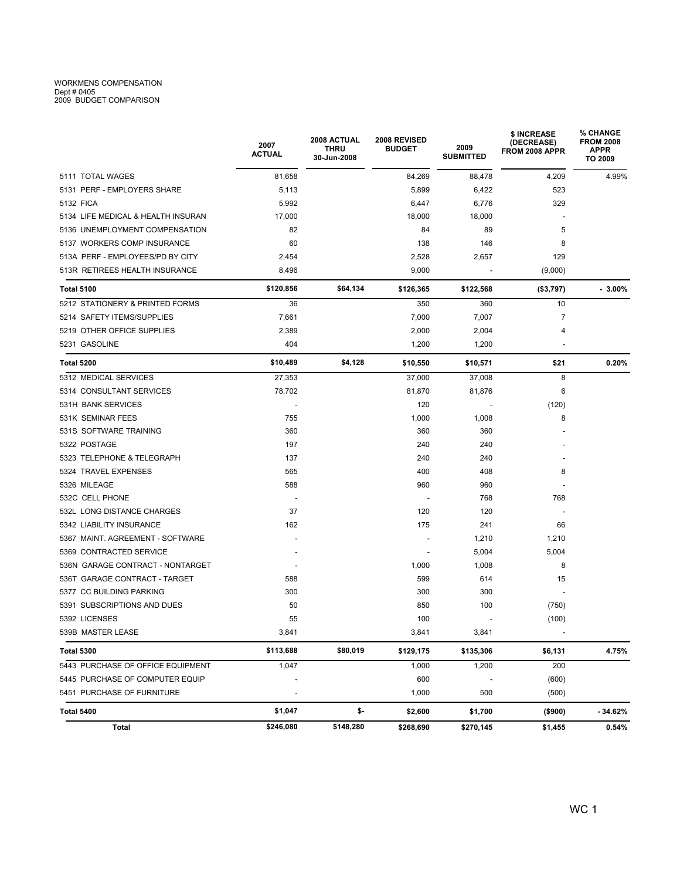## WORKMENS COMPENSATION Dept # 0405 2009 BUDGET COMPARISON

|                                    | 2007<br><b>ACTUAL</b>    | 2008 ACTUAL<br>THRU<br>30-Jun-2008 | 2008 REVISED<br><b>BUDGET</b> | 2009<br><b>SUBMITTED</b> | \$ INCREASE<br>(DECREASE)<br>FROM 2008 APPR | % CHANGE<br><b>FROM 2008</b><br><b>APPR</b><br>TO 2009 |  |
|------------------------------------|--------------------------|------------------------------------|-------------------------------|--------------------------|---------------------------------------------|--------------------------------------------------------|--|
| 5111 TOTAL WAGES                   | 81,658                   |                                    | 84,269                        | 88,478                   | 4,209                                       | 4.99%                                                  |  |
| 5131 PERF - EMPLOYERS SHARE        | 5,113                    |                                    | 5,899                         | 6,422                    | 523                                         |                                                        |  |
| 5132 FICA                          | 5,992                    |                                    | 6,447                         | 6,776                    | 329                                         |                                                        |  |
| 5134 LIFE MEDICAL & HEALTH INSURAN | 17,000                   |                                    | 18,000                        | 18,000                   | $\overline{\phantom{a}}$                    |                                                        |  |
| 5136 UNEMPLOYMENT COMPENSATION     | 82                       |                                    | 84                            | 89                       | 5                                           |                                                        |  |
| 5137 WORKERS COMP INSURANCE        | 60                       |                                    | 138                           | 146                      | 8                                           |                                                        |  |
| 513A PERF - EMPLOYEES/PD BY CITY   | 2,454                    |                                    | 2,528                         | 2,657                    | 129                                         |                                                        |  |
| 513R RETIREES HEALTH INSURANCE     | 8,496                    |                                    | 9,000                         |                          | (9,000)                                     |                                                        |  |
| <b>Total 5100</b>                  | \$120,856                | \$64,134                           | \$126,365                     | \$122,568                | ( \$3,797)                                  | $-3.00\%$                                              |  |
| 5212 STATIONERY & PRINTED FORMS    | 36                       |                                    | 350                           | 360                      | 10                                          |                                                        |  |
| 5214 SAFETY ITEMS/SUPPLIES         | 7,661                    |                                    | 7,000                         | 7,007                    | 7                                           |                                                        |  |
| 5219 OTHER OFFICE SUPPLIES         | 2,389                    |                                    | 2,000                         | 2,004                    | 4                                           |                                                        |  |
| 5231 GASOLINE                      | 404                      |                                    | 1,200                         | 1,200                    |                                             |                                                        |  |
| Total 5200                         | \$10,489                 | \$4,128                            | \$10,550                      | \$10,571                 | \$21                                        | 0.20%                                                  |  |
| 5312 MEDICAL SERVICES              | 27,353                   |                                    | 37,000                        | 37,008                   | 8                                           |                                                        |  |
| 5314 CONSULTANT SERVICES           | 78,702                   |                                    | 81,870                        | 81,876                   | 6                                           |                                                        |  |
| 531H BANK SERVICES                 |                          |                                    | 120                           |                          | (120)                                       |                                                        |  |
| 531K SEMINAR FEES                  | 755                      |                                    | 1,000                         | 1,008                    | 8                                           |                                                        |  |
| 531S SOFTWARE TRAINING             | 360                      |                                    | 360                           | 360                      |                                             |                                                        |  |
| 5322 POSTAGE                       | 197                      |                                    | 240                           | 240                      |                                             |                                                        |  |
| 5323 TELEPHONE & TELEGRAPH         | 137                      |                                    | 240                           | 240                      |                                             |                                                        |  |
| 5324 TRAVEL EXPENSES               | 565                      |                                    | 400                           | 408                      | 8                                           |                                                        |  |
| 5326 MILEAGE                       | 588                      |                                    | 960                           | 960                      |                                             |                                                        |  |
| 532C CELL PHONE                    |                          |                                    |                               | 768                      | 768                                         |                                                        |  |
| 532L LONG DISTANCE CHARGES         | 37                       |                                    | 120                           | 120                      |                                             |                                                        |  |
| 5342 LIABILITY INSURANCE           | 162                      |                                    | 175                           | 241                      | 66                                          |                                                        |  |
| 5367 MAINT. AGREEMENT - SOFTWARE   |                          |                                    |                               | 1,210                    | 1,210                                       |                                                        |  |
| 5369 CONTRACTED SERVICE            |                          |                                    |                               | 5,004                    | 5,004                                       |                                                        |  |
| 536N GARAGE CONTRACT - NONTARGET   |                          |                                    | 1,000                         | 1,008                    | 8                                           |                                                        |  |
| 536T GARAGE CONTRACT - TARGET      | 588                      |                                    | 599                           | 614                      | 15                                          |                                                        |  |
| 5377 CC BUILDING PARKING           | 300                      |                                    | 300                           | 300                      |                                             |                                                        |  |
| 5391 SUBSCRIPTIONS AND DUES        | 50                       |                                    | 850                           | 100                      | (750)                                       |                                                        |  |
| 5392 LICENSES                      | 55                       |                                    | 100                           |                          | (100)                                       |                                                        |  |
| 539B MASTER LEASE                  | 3,841                    |                                    | 3,841                         | 3,841                    | $\overline{\phantom{a}}$                    |                                                        |  |
| <b>Total 5300</b>                  | \$113,688                | \$80,019                           | \$129,175                     | \$135,306                | \$6,131                                     | 4.75%                                                  |  |
| 5443 PURCHASE OF OFFICE EQUIPMENT  | 1,047                    |                                    | 1,000                         | 1,200                    | 200                                         |                                                        |  |
| 5445 PURCHASE OF COMPUTER EQUIP    |                          |                                    | 600                           |                          | (600)                                       |                                                        |  |
| 5451 PURCHASE OF FURNITURE         | $\overline{\phantom{a}}$ |                                    | 1,000                         | 500                      | (500)                                       |                                                        |  |
| Total 5400                         | \$1,047                  | \$-                                | \$2,600                       | \$1,700                  | (\$900)                                     | $-34.62%$                                              |  |
| Total                              | \$246,080                | \$148,280                          | \$268,690                     | \$270,145                | \$1,455                                     | 0.54%                                                  |  |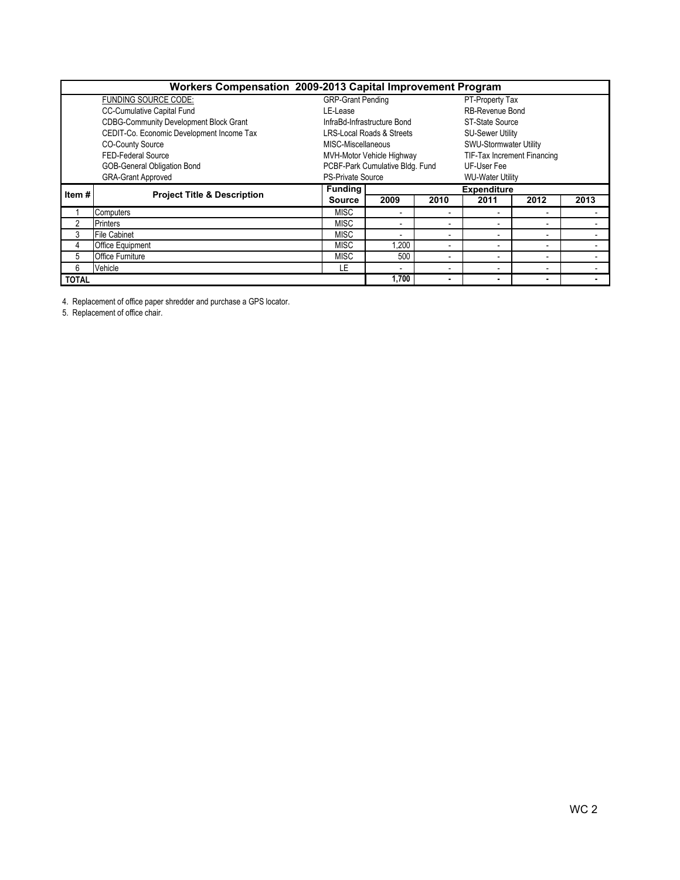| Workers Compensation 2009-2013 Capital Improvement Program |                                               |                                      |                                 |                          |                             |                |      |  |  |  |
|------------------------------------------------------------|-----------------------------------------------|--------------------------------------|---------------------------------|--------------------------|-----------------------------|----------------|------|--|--|--|
|                                                            | FUNDING SOURCE CODE:                          | <b>GRP-Grant Pending</b>             |                                 | PT-Property Tax          |                             |                |      |  |  |  |
|                                                            | <b>CC-Cumulative Capital Fund</b>             | LE-Lease                             |                                 |                          | RB-Revenue Bond             |                |      |  |  |  |
|                                                            | <b>CDBG-Community Development Block Grant</b> | InfraBd-Infrastructure Bond          |                                 |                          | ST-State Source             |                |      |  |  |  |
|                                                            | CEDIT-Co. Economic Development Income Tax     | <b>LRS-Local Roads &amp; Streets</b> |                                 |                          | <b>SU-Sewer Utility</b>     |                |      |  |  |  |
|                                                            | <b>CO-County Source</b>                       | MISC-Miscellaneous                   |                                 |                          | SWU-Stormwater Utility      |                |      |  |  |  |
| FED-Federal Source                                         |                                               |                                      | MVH-Motor Vehicle Highway       |                          | TIF-Tax Increment Financing |                |      |  |  |  |
|                                                            | GOB-General Obligation Bond                   |                                      | PCBF-Park Cumulative Bldg. Fund |                          | UF-User Fee                 |                |      |  |  |  |
| <b>GRA-Grant Approved</b>                                  |                                               | <b>PS-Private Source</b>             |                                 |                          | <b>WU-Water Utility</b>     |                |      |  |  |  |
| Item#                                                      |                                               | <b>Funding</b>                       |                                 |                          | <b>Expenditure</b>          |                |      |  |  |  |
|                                                            | <b>Project Title &amp; Description</b>        | <b>Source</b>                        | 2009                            | 2010                     | 2011                        | 2012           | 2013 |  |  |  |
|                                                            | Computers                                     | <b>MISC</b>                          |                                 |                          |                             |                |      |  |  |  |
|                                                            |                                               |                                      | $\blacksquare$                  |                          |                             |                |      |  |  |  |
| $\overline{2}$                                             | <b>Printers</b>                               | <b>MISC</b>                          | $\blacksquare$                  | $\overline{\phantom{a}}$ |                             | $\blacksquare$ |      |  |  |  |
| 3                                                          | <b>File Cabinet</b>                           | <b>MISC</b>                          | $\blacksquare$                  | $\overline{\phantom{a}}$ |                             | $\blacksquare$ |      |  |  |  |
| 4                                                          | <b>Office Equipment</b>                       | <b>MISC</b>                          | 1.200                           | $\overline{\phantom{a}}$ |                             | $\blacksquare$ |      |  |  |  |
| 5                                                          | <b>Office Furniture</b>                       | <b>MISC</b>                          | 500                             |                          |                             | $\blacksquare$ |      |  |  |  |
| 6                                                          | Vehicle                                       | LE                                   | $\overline{\phantom{a}}$        |                          |                             |                |      |  |  |  |

4. Replacement of office paper shredder and purchase a GPS locator.

5. Replacement of office chair.